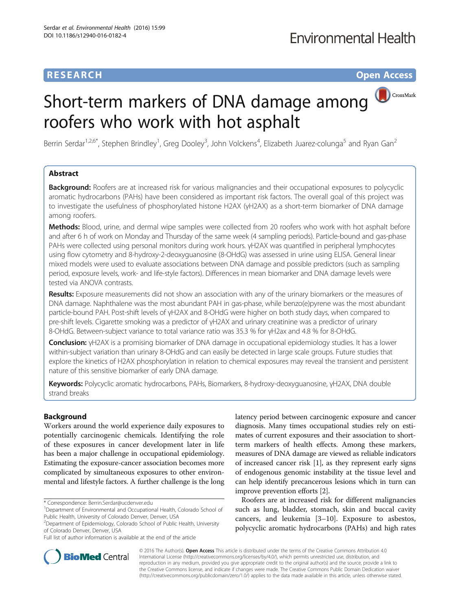# **RESEARCH RESEARCH** *CHECKER CHECKER CHECKER CHECKER CHECKER CHECKER CHECKER CHECKER CHECKER CHECKER CHECKER*

CrossMark

# Short-term markers of DNA damage among roofers who work with hot asphalt

Berrin Serdar<sup>1,2,6\*</sup>, Stephen Brindley<sup>1</sup>, Greg Dooley<sup>3</sup>, John Volckens<sup>4</sup>, Elizabeth Juarez-colunga<sup>5</sup> and Ryan Gan<sup>2</sup>

# Abstract

**Background:** Roofers are at increased risk for various malignancies and their occupational exposures to polycyclic aromatic hydrocarbons (PAHs) have been considered as important risk factors. The overall goal of this project was to investigate the usefulness of phosphorylated histone H2AX (γH2AX) as a short-term biomarker of DNA damage among roofers.

Methods: Blood, urine, and dermal wipe samples were collected from 20 roofers who work with hot asphalt before and after 6 h of work on Monday and Thursday of the same week (4 sampling periods). Particle-bound and gas-phase PAHs were collected using personal monitors during work hours. γH2AX was quantified in peripheral lymphocytes using flow cytometry and 8-hydroxy-2-deoxyguanosine (8-OHdG) was assessed in urine using ELISA. General linear mixed models were used to evaluate associations between DNA damage and possible predictors (such as sampling period, exposure levels, work- and life-style factors). Differences in mean biomarker and DNA damage levels were tested via ANOVA contrasts.

Results: Exposure measurements did not show an association with any of the urinary biomarkers or the measures of DNA damage. Naphthalene was the most abundant PAH in gas-phase, while benzo(e)pyrene was the most abundant particle-bound PAH. Post-shift levels of γH2AX and 8-OHdG were higher on both study days, when compared to pre-shift levels. Cigarette smoking was a predictor of γH2AX and urinary creatinine was a predictor of urinary 8-OHdG. Between-subject variance to total variance ratio was 35.3 % for γH2ax and 4.8 % for 8-OHdG.

**Conclusion:** γH2AX is a promising biomarker of DNA damage in occupational epidemiology studies. It has a lower within-subject variation than urinary 8-OHdG and can easily be detected in large scale groups. Future studies that explore the kinetics of H2AX phosphorylation in relation to chemical exposures may reveal the transient and persistent nature of this sensitive biomarker of early DNA damage.

Keywords: Polycyclic aromatic hydrocarbons, PAHs, Biomarkers, 8-hydroxy-deoxyquanosine, γH2AX, DNA double strand breaks

### Background

Workers around the world experience daily exposures to potentially carcinogenic chemicals. Identifying the role of these exposures in cancer development later in life has been a major challenge in occupational epidemiology. Estimating the exposure-cancer association becomes more complicated by simultaneous exposures to other environmental and lifestyle factors. A further challenge is the long

latency period between carcinogenic exposure and cancer diagnosis. Many times occupational studies rely on estimates of current exposures and their association to shortterm markers of health effects. Among these markers, measures of DNA damage are viewed as reliable indicators of increased cancer risk [[1\]](#page-9-0), as they represent early signs of endogenous genomic instability at the tissue level and can help identify precancerous lesions which in turn can improve prevention efforts [\[2](#page-9-0)].

Roofers are at increased risk for different malignancies such as lung, bladder, stomach, skin and buccal cavity cancers, and leukemia [\[3](#page-9-0)–[10](#page-9-0)]. Exposure to asbestos, polycyclic aromatic hydrocarbons (PAHs) and high rates



© 2016 The Author(s). Open Access This article is distributed under the terms of the Creative Commons Attribution 4.0 International License [\(http://creativecommons.org/licenses/by/4.0/](http://creativecommons.org/licenses/by/4.0/)), which permits unrestricted use, distribution, and reproduction in any medium, provided you give appropriate credit to the original author(s) and the source, provide a link to the Creative Commons license, and indicate if changes were made. The Creative Commons Public Domain Dedication waiver [\(http://creativecommons.org/publicdomain/zero/1.0/](http://creativecommons.org/publicdomain/zero/1.0/)) applies to the data made available in this article, unless otherwise stated.

<sup>\*</sup> Correspondence: [Berrin.Serdar@ucdenver.edu](mailto:Berrin.Serdar@ucdenver.edu) <sup>1</sup>

<sup>&</sup>lt;sup>1</sup>Department of Environmental and Occupational Health, Colorado School of Public Health, University of Colorado Denver, Denver, USA

<sup>&</sup>lt;sup>2</sup>Department of Epidemiology, Colorado School of Public Health, University of Colorado Denver, Denver, USA

Full list of author information is available at the end of the article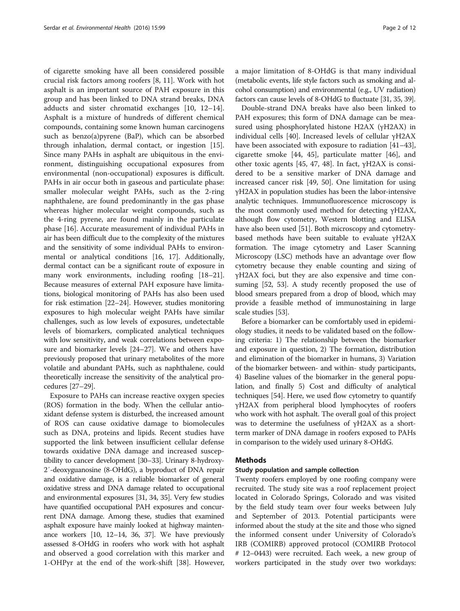of cigarette smoking have all been considered possible crucial risk factors among roofers [\[8, 11\]](#page-9-0). Work with hot asphalt is an important source of PAH exposure in this group and has been linked to DNA strand breaks, DNA adducts and sister chromatid exchanges [[10](#page-9-0), [12](#page-9-0)–[14](#page-9-0)]. Asphalt is a mixture of hundreds of different chemical compounds, containing some known human carcinogens such as benzo(a)pyrene (BaP), which can be absorbed through inhalation, dermal contact, or ingestion [\[15](#page-9-0)]. Since many PAHs in asphalt are ubiquitous in the environment, distinguishing occupational exposures from environmental (non-occupational) exposures is difficult. PAHs in air occur both in gaseous and particulate phase: smaller molecular weight PAHs, such as the 2-ring naphthalene, are found predominantly in the gas phase whereas higher molecular weight compounds, such as the 4-ring pyrene, are found mainly in the particulate phase [\[16\]](#page-9-0). Accurate measurement of individual PAHs in air has been difficult due to the complexity of the mixtures and the sensitivity of some individual PAHs to environmental or analytical conditions [\[16, 17\]](#page-9-0). Additionally, dermal contact can be a significant route of exposure in many work environments, including roofing [\[18](#page-9-0)–[21](#page-9-0)]. Because measures of external PAH exposure have limitations, biological monitoring of PAHs has also been used for risk estimation [[22](#page-9-0)–[24](#page-9-0)]. However, studies monitoring exposures to high molecular weight PAHs have similar challenges, such as low levels of exposures, undetectable levels of biomarkers, complicated analytical techniques with low sensitivity, and weak correlations between exposure and biomarker levels [\[24](#page-9-0)–[27](#page-10-0)]. We and others have previously proposed that urinary metabolites of the more volatile and abundant PAHs, such as naphthalene, could theoretically increase the sensitivity of the analytical procedures [\[27](#page-10-0)–[29](#page-10-0)].

Exposure to PAHs can increase reactive oxygen species (ROS) formation in the body. When the cellular antioxidant defense system is disturbed, the increased amount of ROS can cause oxidative damage to biomolecules such as DNA, proteins and lipids. Recent studies have supported the link between insufficient cellular defense towards oxidative DNA damage and increased susceptibility to cancer development [\[30](#page-10-0)–[33\]](#page-10-0). Urinary 8-hydroxy-2′-deoxyguanosine (8-OHdG), a byproduct of DNA repair and oxidative damage, is a reliable biomarker of general oxidative stress and DNA damage related to occupational and environmental exposures [\[31](#page-10-0), [34, 35](#page-10-0)]. Very few studies have quantified occupational PAH exposures and concurrent DNA damage. Among these, studies that examined asphalt exposure have mainly looked at highway maintenance workers [\[10, 12](#page-9-0)–[14](#page-9-0), [36](#page-10-0), [37\]](#page-10-0). We have previously assessed 8-OHdG in roofers who work with hot asphalt and observed a good correlation with this marker and 1-OHPyr at the end of the work-shift [[38\]](#page-10-0). However, a major limitation of 8-OHdG is that many individual (metabolic events, life style factors such as smoking and alcohol consumption) and environmental (e.g., UV radiation) factors can cause levels of 8-OHdG to fluctuate [[31, 35, 39](#page-10-0)].

Double-strand DNA breaks have also been linked to PAH exposures; this form of DNA damage can be measured using phosphorylated histone H2AX (γH2AX) in individual cells [[40\]](#page-10-0). Increased levels of cellular γH2AX have been associated with exposure to radiation [[41](#page-10-0)–[43](#page-10-0)], cigarette smoke [\[44](#page-10-0), [45\]](#page-10-0), particulate matter [[46\]](#page-10-0), and other toxic agents [\[45](#page-10-0), [47, 48](#page-10-0)]. In fact, γH2AX is considered to be a sensitive marker of DNA damage and increased cancer risk [\[49](#page-10-0), [50](#page-10-0)]. One limitation for using γH2AX in population studies has been the labor-intensive analytic techniques. Immunofluorescence microscopy is the most commonly used method for detecting γH2AX, although flow cytometry, Western blotting and ELISA have also been used [[51](#page-10-0)]. Both microscopy and cytometrybased methods have been suitable to evaluate γH2AX formation. The image cytometry and Laser Scanning Microscopy (LSC) methods have an advantage over flow cytometry because they enable counting and sizing of γH2AX foci, but they are also expensive and time consuming [\[52, 53](#page-10-0)]. A study recently proposed the use of blood smears prepared from a drop of blood, which may provide a feasible method of immunostaining in large scale studies [[53](#page-10-0)].

Before a biomarker can be comfortably used in epidemiology studies, it needs to be validated based on the following criteria: 1) The relationship between the biomarker and exposure in question, 2) The formation, distribution and elimination of the biomarker in humans, 3) Variation of the biomarker between- and within- study participants, 4) Baseline values of the biomarker in the general population, and finally 5) Cost and difficulty of analytical techniques [\[54\]](#page-10-0). Here, we used flow cytometry to quantify γH2AX from peripheral blood lymphocytes of roofers who work with hot asphalt. The overall goal of this project was to determine the usefulness of γH2AX as a shortterm marker of DNA damage in roofers exposed to PAHs in comparison to the widely used urinary 8-OHdG.

## Methods

#### Study population and sample collection

Twenty roofers employed by one roofing company were recruited. The study site was a roof replacement project located in Colorado Springs, Colorado and was visited by the field study team over four weeks between July and September of 2013. Potential participants were informed about the study at the site and those who signed the informed consent under University of Colorado's IRB (COMIRB) approved protocol (COMIRB Protocol # 12–0443) were recruited. Each week, a new group of workers participated in the study over two workdays: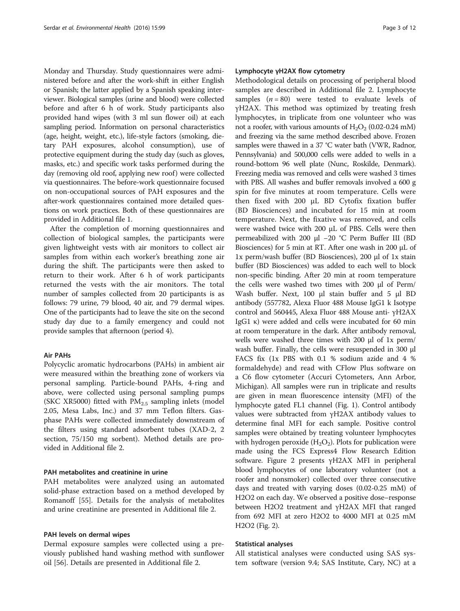Monday and Thursday. Study questionnaires were administered before and after the work-shift in either English or Spanish; the latter applied by a Spanish speaking interviewer. Biological samples (urine and blood) were collected before and after 6 h of work. Study participants also provided hand wipes (with 3 ml sun flower oil) at each sampling period. Information on personal characteristics (age, height, weight, etc.), life-style factors (smoking, dietary PAH exposures, alcohol consumption), use of protective equipment during the study day (such as gloves, masks, etc.) and specific work tasks performed during the day (removing old roof, applying new roof) were collected via questionnaires. The before-work questionnaire focused on non-occupational sources of PAH exposures and the after-work questionnaires contained more detailed questions on work practices. Both of these questionnaires are provided in Additional file [1](#page-8-0).

After the completion of morning questionnaires and collection of biological samples, the participants were given lightweight vests with air monitors to collect air samples from within each worker's breathing zone air during the shift. The participants were then asked to return to their work. After 6 h of work participants returned the vests with the air monitors. The total number of samples collected from 20 participants is as follows: 79 urine, 79 blood, 40 air, and 79 dermal wipes. One of the participants had to leave the site on the second study day due to a family emergency and could not provide samples that afternoon (period 4).

#### Air PAHs

Polycyclic aromatic hydrocarbons (PAHs) in ambient air were measured within the breathing zone of workers via personal sampling. Particle-bound PAHs, 4-ring and above, were collected using personal sampling pumps (SKC XR5000) fitted with  $PM<sub>2.5</sub>$  sampling inlets (model 2.05, Mesa Labs, Inc.) and 37 mm Teflon filters. Gasphase PAHs were collected immediately downstream of the filters using standard adsorbent tubes (XAD-2, 2 section, 75/150 mg sorbent). Method details are provided in Additional file [2.](#page-8-0)

#### PAH metabolites and creatinine in urine

PAH metabolites were analyzed using an automated solid-phase extraction based on a method developed by Romanoff [\[55\]](#page-10-0). Details for the analysis of metabolites and urine creatinine are presented in Additional file [2.](#page-8-0)

#### PAH levels on dermal wipes

Dermal exposure samples were collected using a previously published hand washing method with sunflower oil [\[56\]](#page-10-0). Details are presented in Additional file [2](#page-8-0).

#### Lymphocyte γH2AX flow cytometry

Methodological details on processing of peripheral blood samples are described in Additional file [2](#page-8-0). Lymphocyte samples  $(n = 80)$  were tested to evaluate levels of γH2AX. This method was optimized by treating fresh lymphocytes, in triplicate from one volunteer who was not a roofer, with various amounts of  $H_2O_2$  (0.02-0.24 mM) and freezing via the same method described above. Frozen samples were thawed in a 37 °C water bath (VWR, Radnor, Pennsylvania) and 500,000 cells were added to wells in a round-bottom 96 well plate (Nunc, Roskilde, Denmark). Freezing media was removed and cells were washed 3 times with PBS. All washes and buffer removals involved a 600 g spin for five minutes at room temperature. Cells were then fixed with 200 μL BD Cytofix fixation buffer (BD Biosciences) and incubated for 15 min at room temperature. Next, the fixative was removed, and cells were washed twice with 200 μL of PBS. Cells were then permeabilized with 200 μl −20 °C Perm Buffer III (BD Biosciences) for 5 min at RT. After one wash in 200 μL of 1x perm/wash buffer (BD Biosciences), 200 μl of 1x stain buffer (BD Biosciences) was added to each well to block non-specific binding. After 20 min at room temperature the cells were washed two times with 200 μl of Perm/ Wash buffer. Next, 100 μl stain buffer and 5 μl BD antibody (557782, Alexa Fluor 488 Mouse IgG1 k Isotype control and 560445, Alexa Fluor 488 Mouse anti- γH2AX IgG1 κ) were added and cells were incubated for 60 min at room temperature in the dark. After antibody removal, wells were washed three times with 200 μl of 1x perm/ wash buffer. Finally, the cells were resuspended in 300 μl FACS fix (1x PBS with 0.1 % sodium azide and 4 % formaldehyde) and read with CFlow Plus software on a C6 flow cytometer (Accuri Cytometers, Ann Arbor, Michigan). All samples were run in triplicate and results are given in mean fluorescence intensity (MFI) of the lymphocyte gated FL1 channel (Fig. [1](#page-3-0)). Control antibody values were subtracted from γH2AX antibody values to determine final MFI for each sample. Positive control samples were obtained by treating volunteer lymphocytes with hydrogen peroxide  $(H_2O_2)$ . Plots for publication were made using the FCS Express4 Flow Research Edition software. Figure [2](#page-3-0) presents γH2AX MFI in peripheral blood lymphocytes of one laboratory volunteer (not a roofer and nonsmoker) collected over three consecutive days and treated with varying doses (0.02-0.25 mM) of H2O2 on each day. We observed a positive dose–response between H2O2 treatment and γH2AX MFI that ranged from 692 MFI at zero H2O2 to 4000 MFI at 0.25 mM H2O2 (Fig. [2\)](#page-3-0).

#### Statistical analyses

All statistical analyses were conducted using SAS system software (version 9.4; SAS Institute, Cary, NC) at a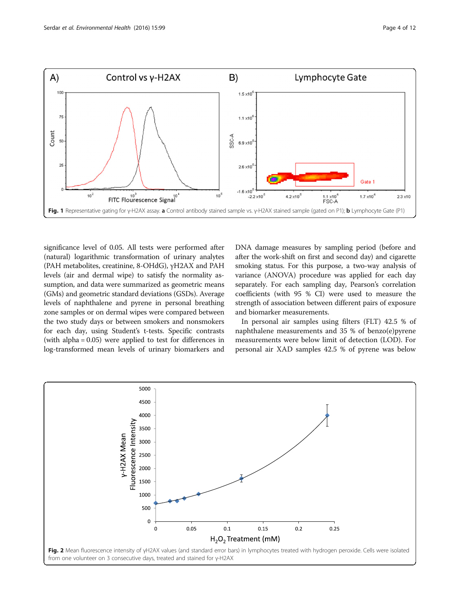<span id="page-3-0"></span>

significance level of 0.05. All tests were performed after (natural) logarithmic transformation of urinary analytes (PAH metabolites, creatinine, 8-OHdG), γH2AX and PAH levels (air and dermal wipe) to satisfy the normality assumption, and data were summarized as geometric means (GMs) and geometric standard deviations (GSDs). Average levels of naphthalene and pyrene in personal breathing zone samples or on dermal wipes were compared between the two study days or between smokers and nonsmokers for each day, using Student's t-tests. Specific contrasts (with alpha = 0.05) were applied to test for differences in log-transformed mean levels of urinary biomarkers and DNA damage measures by sampling period (before and after the work-shift on first and second day) and cigarette smoking status. For this purpose, a two-way analysis of variance (ANOVA) procedure was applied for each day separately. For each sampling day, Pearson's correlation coefficients (with 95 % CI) were used to measure the strength of association between different pairs of exposure and biomarker measurements.

In personal air samples using filters (FLT) 42.5 % of naphthalene measurements and 35 % of benzo(e)pyrene measurements were below limit of detection (LOD). For personal air XAD samples 42.5 % of pyrene was below

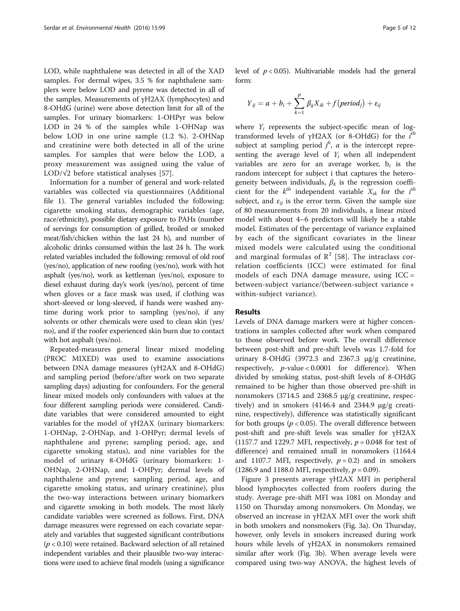LOD, while naphthalene was detected in all of the XAD samples. For dermal wipes, 3.5 % for naphthalene samplers were below LOD and pyrene was detected in all of the samples. Measurements of γH2AX (lymphocytes) and 8-OHdG (urine) were above detection limit for all of the samples. For urinary biomarkers: 1-OHPyr was below LOD in 24 % of the samples while 1-OHNap was below LOD in one urine sample (1.2 %). 2-OHNap and creatinine were both detected in all of the urine samples. For samples that were below the LOD, a proxy measurement was assigned using the value of LOD/ $\sqrt{2}$  before statistical analyses [\[57](#page-10-0)].

Information for a number of general and work-related variables was collected via questionnaires (Additional file [1\)](#page-8-0). The general variables included the following: cigarette smoking status, demographic variables (age, race/ethnicity), possible dietary exposure to PAHs (number of servings for consumption of grilled, broiled or smoked meat/fish/chicken within the last 24 h), and number of alcoholic drinks consumed within the last 24 h. The work related variables included the following: removal of old roof (yes/no), application of new roofing (yes/no), work with hot asphalt (yes/no), work as kettleman (yes/no), exposure to diesel exhaust during day's work (yes/no), percent of time when gloves or a face mask was used, if clothing was short-sleeved or long-sleeved, if hands were washed anytime during work prior to sampling (yes/no), if any solvents or other chemicals were used to clean skin (yes/ no), and if the roofer experienced skin burn due to contact with hot asphalt (yes/no).

Repeated-measures general linear mixed modeling (PROC MIXED) was used to examine associations between DNA damage measures (γH2AX and 8-OHdG) and sampling period (before/after work on two separate sampling days) adjusting for confounders. For the general linear mixed models only confounders with values at the four different sampling periods were considered. Candidate variables that were considered amounted to eight variables for the model of γH2AX (urinary biomarkers: 1-OHNap, 2-OHNap, and 1-OHPyr; dermal levels of naphthalene and pyrene; sampling period, age, and cigarette smoking status), and nine variables for the model of urinary 8-OHdG (urinary biomarkers: 1- OHNap, 2-OHNap, and 1-OHPyr; dermal levels of naphthalene and pyrene; sampling period, age, and cigarette smoking status, and urinary creatinine), plus the two-way interactions between urinary biomarkers and cigarette smoking in both models. The most likely candidate variables were screened as follows. First, DNA damage measures were regressed on each covariate separately and variables that suggested significant contributions  $(p < 0.10)$  were retained. Backward selection of all retained independent variables and their plausible two-way interactions were used to achieve final models (using a significance level of  $p < 0.05$ ). Multivariable models had the general form:

$$
Y_{ij} = \alpha + b_i + \sum_{k=1}^{p} \beta_k X_{ik} + f(\text{period}_j) + \varepsilon_{ij}
$$

where  $Y_i$  represents the subject-specific mean of logtransformed levels of  $\gamma$ H2AX (or 8-OHdG) for the  $i^{th}$ subject at sampling period  $j^h$ ,  $\alpha$  is the intercept representing the average level of  $Y_i$  when all independent variables are zero for an average worker,  $b_i$  is the random intercept for subject i that captures the heterogeneity between individuals,  $\beta_k$  is the regression coefficient for the  $k^{th}$  independent variable  $X_{ik}$  for the  $i^{th}$ subject, and  $\varepsilon_{ii}$  is the error term. Given the sample size of 80 measurements from 20 individuals, a linear mixed model with about 4–6 predictors will likely be a stable model. Estimates of the percentage of variance explained by each of the significant covariates in the linear mixed models were calculated using the conditional and marginal formulas of  $\mathbb{R}^2$  [[58](#page-10-0)]. The intraclass correlation coefficients (ICC) were estimated for final models of each DNA damage measure, using ICC = between-subject variance/(between-subject variance + within-subject variance).

#### Results

Levels of DNA damage markers were at higher concentrations in samples collected after work when compared to those observed before work. The overall difference between post-shift and pre-shift levels was 1.7-fold for urinary 8-OHdG (3972.3 and 2367.3 μg/g creatinine, respectively,  $p$ -value < 0.0001 for difference). When divided by smoking status, post-shift levels of 8-OHdG remained to be higher than those observed pre-shift in nonsmokers (3714.5 and 2368.5 μg/g creatinine, respectively) and in smokers  $(4146.4 \text{ and } 2344.9 \text{ µg/g creati-}$ nine, respectively), difference was statistically significant for both groups ( $p < 0.05$ ). The overall difference between post-shift and pre-shift levels was smaller for γH2AX (1157.7 and 1229.7 MFI, respectively,  $p = 0.048$  for test of difference) and remained small in nonsmokers (1164.4 and 1107.7 MFI, respectively,  $p = 0.2$ ) and in smokers  $(1286.9 \text{ and } 1188.0 \text{ mF1},$  respectively,  $p = 0.09$ ).

Figure [3](#page-5-0) presents average γH2AX MFI in peripheral blood lymphocytes collected from roofers during the study. Average pre-shift MFI was 1081 on Monday and 1150 on Thursday among nonsmokers. On Monday, we observed an increase in γH2AX MFI over the work shift in both smokers and nonsmokers (Fig. [3a\)](#page-5-0). On Thursday, however, only levels in smokers increased during work hours while levels of γH2AX in nonsmokers remained similar after work (Fig. [3b\)](#page-5-0). When average levels were compared using two-way ANOVA, the highest levels of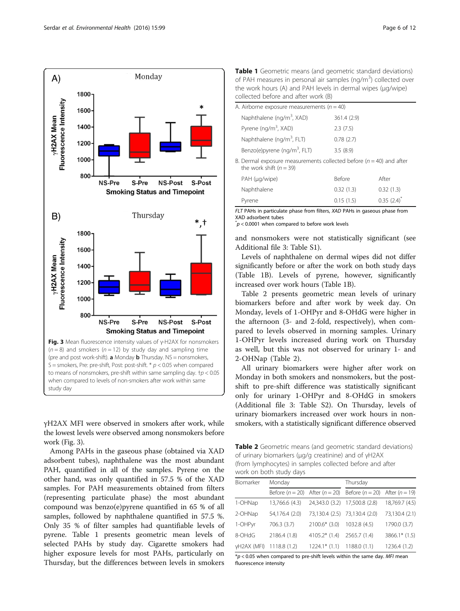<span id="page-5-0"></span>

γH2AX MFI were observed in smokers after work, while the lowest levels were observed among nonsmokers before work (Fig. 3).

Among PAHs in the gaseous phase (obtained via XAD adsorbent tubes), naphthalene was the most abundant PAH, quantified in all of the samples. Pyrene on the other hand, was only quantified in 57.5 % of the XAD samples. For PAH measurements obtained from filters (representing particulate phase) the most abundant compound was benzo(e)pyrene quantified in 65 % of all samples, followed by naphthalene quantified in 57.5 %. Only 35 % of filter samples had quantifiable levels of pyrene. Table 1 presents geometric mean levels of selected PAHs by study day. Cigarette smokers had higher exposure levels for most PAHs, particularly on Thursday, but the differences between levels in smokers

Table 1 Geometric means (and geometric standard deviations) of PAH measures in personal air samples (ng/m<sup>3</sup>) collected over the work hours (A) and PAH levels in dermal wipes (μg/wipe) collected before and after work (B)

| A. Airborne exposure measurements ( $n = 40$ ) |                                                                                                        |               |       |  |  |
|------------------------------------------------|--------------------------------------------------------------------------------------------------------|---------------|-------|--|--|
|                                                | Naphthalene (ng/m <sup>3</sup> , XAD)                                                                  | 361.4 (2.9)   |       |  |  |
|                                                | Pyrene (ng/m <sup>3</sup> , XAD)                                                                       | 2.3(7.5)      |       |  |  |
|                                                | Naphthalene (ng/m <sup>3</sup> , FLT)                                                                  | 0.78(2.7)     |       |  |  |
|                                                | Benzo(e)pyrene (ng/m <sup>3</sup> , FLT)                                                               | 3.5(8.9)      |       |  |  |
|                                                | B. Dermal exposure measurements collected before ( $n = 40$ ) and after<br>the work shift ( $n = 39$ ) |               |       |  |  |
|                                                | PAH (µg/wipe)                                                                                          | <b>Before</b> | After |  |  |

Pyrene 0.15 (1.5) 0.35 (2.4)<sup>\*</sup> FLT PAHs in particulate phase from filters, XAD PAHs in gaseous phase from XAD adsorbent tubes

Naphthalene 0.32 (1.3) 0.32 (1.3)

 $p^*$  < 0.0001 when compared to before work levels

and nonsmokers were not statistically significant (see Additional file [3](#page-8-0): Table S1).

Levels of naphthalene on dermal wipes did not differ significantly before or after the work on both study days (Table 1B). Levels of pyrene, however, significantly increased over work hours (Table 1B).

Table 2 presents geometric mean levels of urinary biomarkers before and after work by week day. On Monday, levels of 1-OHPyr and 8-OHdG were higher in the afternoon (3- and 2-fold, respectively), when compared to levels observed in morning samples. Urinary 1-OHPyr levels increased during work on Thursday as well, but this was not observed for urinary 1- and 2-OHNap (Table 2).

All urinary biomarkers were higher after work on Monday in both smokers and nonsmokers, but the postshift to pre-shift difference was statistically significant only for urinary 1-OHPyr and 8-OHdG in smokers (Additional file [3:](#page-8-0) Table S2). On Thursday, levels of urinary biomarkers increased over work hours in nonsmokers, with a statistically significant difference observed

Table 2 Geometric means (and geometric standard deviations) of urinary biomarkers (μg/g creatinine) and of γH2AX (from lymphocytes) in samples collected before and after work on both study days

| Biomarker                | Monday                             |                            | Thursday                           |                 |
|--------------------------|------------------------------------|----------------------------|------------------------------------|-----------------|
|                          | Before $(n = 20)$ After $(n = 20)$ |                            | Before $(n = 20)$ After $(n = 19)$ |                 |
| 1-OHNap                  | 13,766.6 (4.3)                     |                            | 24,343.0 (3.2) 17,500.8 (2.8)      | 18,769.7 (4.5)  |
| 2-OHNap                  | 54,176.4 (2.0)                     |                            | 73,130.4 (2.5) 73,130.4 (2.0)      | 73,130.4 (2.1)  |
| 1-OHPyr                  | 706.3 (3.7)                        | $2100.6*$ (3.0)            | 1032.8 (4.5)                       | 1790.0 (3.7)    |
| 8-OHdG                   | 2186.4 (1.8)                       | 4105.2* (1.4) 2565.7 (1.4) |                                    | $3866.1*$ (1.5) |
| yH2AX (MFI) 1118.8 (1.2) |                                    | $1224.1*$ (1.1)            | 1188.0(1.1)                        | 1236.4 (1.2)    |

 $p < 0.05$  when compared to pre-shift levels within the same day. MFI mean fluorescence intensity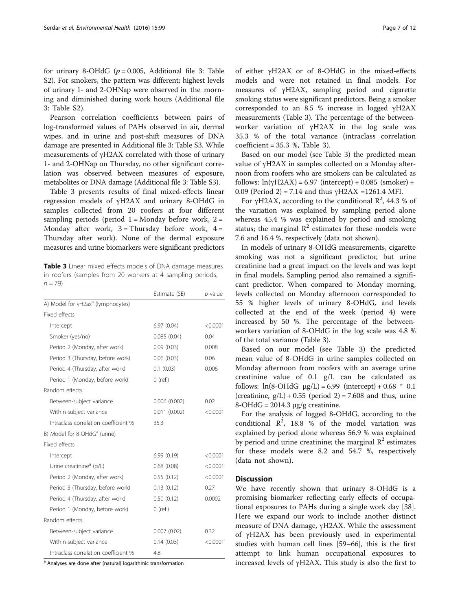for urinary 8-OHdG ( $p = 0.005$ , Additional file [3:](#page-8-0) Table S2). For smokers, the pattern was different; highest levels of urinary 1- and 2-OHNap were observed in the morning and diminished during work hours (Additional file [3:](#page-8-0) Table S2).

Pearson correlation coefficients between pairs of log-transformed values of PAHs observed in air, dermal wipes, and in urine and post-shift measures of DNA damage are presented in Additional file [3](#page-8-0): Table S3. While measurements of γH2AX correlated with those of urinary 1- and 2-OHNap on Thursday, no other significant correlation was observed between measures of exposure, metabolites or DNA damage (Additional file [3](#page-8-0): Table S3).

Table 3 presents results of final mixed-effects linear regression models of γH2AX and urinary 8-OHdG in samples collected from 20 roofers at four different sampling periods (period  $1 =$  Monday before work,  $2 =$ Monday after work,  $3 =$ Thursday before work,  $4 =$ Thursday after work). None of the dermal exposure measures and urine biomarkers were significant predictors

Table 3 Linear mixed effects models of DNA damage measures in roofers (samples from 20 workers at 4 sampling periods,  $n = 79$ 

|                                               | Estimate (SE) | $p$ -value |
|-----------------------------------------------|---------------|------------|
| A) Model for yH2ax <sup>a</sup> (lymphocytes) |               |            |
| Fixed effects                                 |               |            |
| Intercept                                     | 6.97(0.04)    | < 0.0001   |
| Smoker (yes/no)                               | 0.085(0.04)   | 0.04       |
| Period 2 (Monday, after work)                 | 0.09(0.03)    | 0.008      |
| Period 3 (Thursday, before work)              | 0.06(0.03)    | 0.06       |
| Period 4 (Thursday, after work)               | 0.1(0.03)     | 0.006      |
| Period 1 (Monday, before work)                | $0$ (ref.)    |            |
| Random effects                                |               |            |
| Between-subject variance                      | 0.006(0.002)  | 0.02       |
| Within-subject variance                       | 0.011(0.002)  | < 0.0001   |
| Intraclass correlation coefficient %          | 35.3          |            |
| B) Model for 8-OHdG <sup>a</sup> (urine)      |               |            |
| Fixed effects                                 |               |            |
| Intercept                                     | 6.99(0.19)    | < 0.0001   |
| Urine creatinine <sup>a</sup> (g/L)           | 0.68(0.08)    | < 0.0001   |
| Period 2 (Monday, after work)                 | 0.55(0.12)    | < 0.0001   |
| Period 3 (Thursday, before work)              | 0.13(0.12)    | 0.27       |
| Period 4 (Thursday, after work)               | 0.50(0.12)    | 0.0002     |
| Period 1 (Monday, before work)                | $0$ (ref.)    |            |
| Random effects                                |               |            |
| Between-subject variance                      | 0.007(0.02)   | 0.32       |
| Within-subject variance                       | 0.14(0.03)    | < 0.0001   |
| Intraclass correlation coefficient %          | 4.8           |            |

<sup>a</sup> Analyses are done after (natural) logarithmic transformation

of either γH2AX or of 8-OHdG in the mixed-effects models and were not retained in final models. For measures of γH2AX, sampling period and cigarette smoking status were significant predictors. Being a smoker corresponded to an 8.5 % increase in logged γH2AX measurements (Table 3). The percentage of the betweenworker variation of γH2AX in the log scale was 35.3 % of the total variance (intraclass correlation  $coefficient = 35.3$  %, Table 3).

Based on our model (see Table 3) the predicted mean value of γH2AX in samples collected on a Monday afternoon from roofers who are smokers can be calculated as follows:  $ln(yH2AX) = 6.97$  (intercept) + 0.085 (smoker) + 0.09 (Period 2) = 7.14 and thus γH2AX = 1261.4 MFI.

For γH2AX, according to the conditional  $\mathbb{R}^2$ , 44.3 % of the variation was explained by sampling period alone whereas 45.4 % was explained by period and smoking status; the marginal  $\mathbb{R}^2$  estimates for these models were 7.6 and 16.4 %, respectively (data not shown).

In models of urinary 8-OHdG measurements, cigarette smoking was not a significant predictor, but urine creatinine had a great impact on the levels and was kept in final models. Sampling period also remained a significant predictor. When compared to Monday morning, levels collected on Monday afternoon corresponded to 55 % higher levels of urinary 8-OHdG, and levels collected at the end of the week (period 4) were increased by 50 %. The percentage of the betweenworkers variation of 8-OHdG in the log scale was 4.8 % of the total variance (Table 3).

Based on our model (see Table 3) the predicted mean value of 8-OHdG in urine samples collected on Monday afternoon from roofers with an average urine creatinine value of 0.1 g/L can be calculated as follows:  $ln(8-OHdG \mu g/L) = 6.99$  (intercept) + 0.68  $*$  0.1 (creatinine,  $g/L$ ) + 0.55 (period 2) = 7.608 and thus, urine  $8$ -OHdG = 2014.3 μg/g creatinine.

For the analysis of logged 8-OHdG, according to the conditional  $\mathbb{R}^2$ , 18.8 % of the model variation was explained by period alone whereas 56.9 % was explained by period and urine creatinine; the marginal  $\mathbb{R}^2$  estimates for these models were 8.2 and 54.7 %, respectively (data not shown).

#### **Discussion**

We have recently shown that urinary 8-OHdG is a promising biomarker reflecting early effects of occupational exposures to PAHs during a single work day [\[38](#page-10-0)]. Here we expand our work to include another distinct measure of DNA damage, γH2AX. While the assessment of γH2AX has been previously used in experimental studies with human cell lines [[59](#page-10-0)–[66](#page-10-0)], this is the first attempt to link human occupational exposures to increased levels of γH2AX. This study is also the first to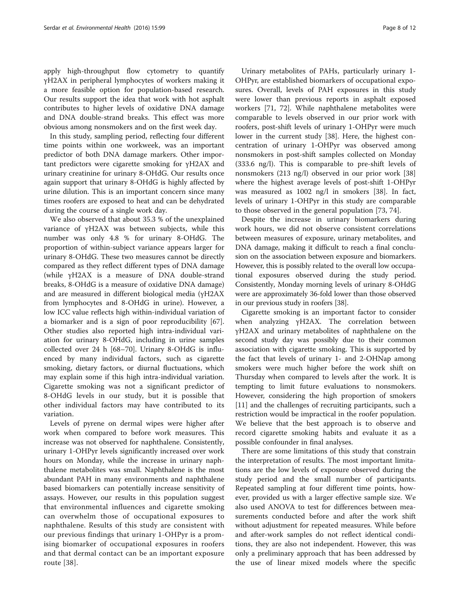apply high-throughput flow cytometry to quantify γH2AX in peripheral lymphocytes of workers making it a more feasible option for population-based research. Our results support the idea that work with hot asphalt contributes to higher levels of oxidative DNA damage and DNA double-strand breaks. This effect was more obvious among nonsmokers and on the first week day.

In this study, sampling period, reflecting four different time points within one workweek, was an important predictor of both DNA damage markers. Other important predictors were cigarette smoking for γH2AX and urinary creatinine for urinary 8-OHdG. Our results once again support that urinary 8-OHdG is highly affected by urine dilution. This is an important concern since many times roofers are exposed to heat and can be dehydrated during the course of a single work day.

We also observed that about 35.3 % of the unexplained variance of γH2AX was between subjects, while this number was only 4.8 % for urinary 8-OHdG. The proportion of within-subject variance appears larger for urinary 8-OHdG. These two measures cannot be directly compared as they reflect different types of DNA damage (while γH2AX is a measure of DNA double-strand breaks, 8-OHdG is a measure of oxidative DNA damage) and are measured in different biological media (γH2AX from lymphocytes and 8-OHdG in urine). However, a low ICC value reflects high within-individual variation of a biomarker and is a sign of poor reproducibility [\[67](#page-11-0)]. Other studies also reported high intra-individual variation for urinary 8-OHdG, including in urine samples collected over 24 h [\[68](#page-11-0)–[70\]](#page-11-0). Urinary 8-OHdG is influenced by many individual factors, such as cigarette smoking, dietary factors, or diurnal fluctuations, which may explain some if this high intra-individual variation. Cigarette smoking was not a significant predictor of 8-OHdG levels in our study, but it is possible that other individual factors may have contributed to its variation.

Levels of pyrene on dermal wipes were higher after work when compared to before work measures. This increase was not observed for naphthalene. Consistently, urinary 1-OHPyr levels significantly increased over work hours on Monday, while the increase in urinary naphthalene metabolites was small. Naphthalene is the most abundant PAH in many environments and naphthalene based biomarkers can potentially increase sensitivity of assays. However, our results in this population suggest that environmental influences and cigarette smoking can overwhelm those of occupational exposures to naphthalene. Results of this study are consistent with our previous findings that urinary 1-OHPyr is a promising biomarker of occupational exposures in roofers and that dermal contact can be an important exposure route [\[38\]](#page-10-0).

Urinary metabolites of PAHs, particularly urinary 1- OHPyr, are established biomarkers of occupational exposures. Overall, levels of PAH exposures in this study were lower than previous reports in asphalt exposed workers [\[71](#page-11-0), [72](#page-11-0)]. While naphthalene metabolites were comparable to levels observed in our prior work with roofers, post-shift levels of urinary 1-OHPyr were much lower in the current study [\[38\]](#page-10-0). Here, the highest concentration of urinary 1-OHPyr was observed among nonsmokers in post-shift samples collected on Monday (333.6 ng/l). This is comparable to pre-shift levels of nonsmokers (213 ng/l) observed in our prior work [[38](#page-10-0)] where the highest average levels of post-shift 1-OHPyr was measured as 1002 ng/l in smokers [[38\]](#page-10-0). In fact, levels of urinary 1-OHPyr in this study are comparable to those observed in the general population [[73](#page-11-0), [74](#page-11-0)].

Despite the increase in urinary biomarkers during work hours, we did not observe consistent correlations between measures of exposure, urinary metabolites, and DNA damage, making it difficult to reach a final conclusion on the association between exposure and biomarkers. However, this is possibly related to the overall low occupational exposures observed during the study period. Consistently, Monday morning levels of urinary 8-OHdG were are approximately 36-fold lower than those observed in our previous study in roofers [\[38](#page-10-0)].

Cigarette smoking is an important factor to consider when analyzing γH2AX. The correlation between γH2AX and urinary metabolites of naphthalene on the second study day was possibly due to their common association with cigarette smoking. This is supported by the fact that levels of urinary 1- and 2-OHNap among smokers were much higher before the work shift on Thursday when compared to levels after the work. It is tempting to limit future evaluations to nonsmokers. However, considering the high proportion of smokers [[11\]](#page-9-0) and the challenges of recruiting participants, such a restriction would be impractical in the roofer population. We believe that the best approach is to observe and record cigarette smoking habits and evaluate it as a possible confounder in final analyses.

There are some limitations of this study that constrain the interpretation of results. The most important limitations are the low levels of exposure observed during the study period and the small number of participants. Repeated sampling at four different time points, however, provided us with a larger effective sample size. We also used ANOVA to test for differences between measurements conducted before and after the work shift without adjustment for repeated measures. While before and after-work samples do not reflect identical conditions, they are also not independent. However, this was only a preliminary approach that has been addressed by the use of linear mixed models where the specific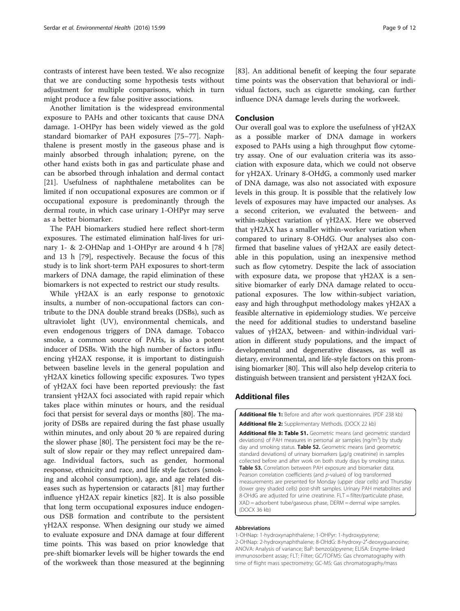<span id="page-8-0"></span>contrasts of interest have been tested. We also recognize that we are conducting some hypothesis tests without adjustment for multiple comparisons, which in turn might produce a few false positive associations.

Another limitation is the widespread environmental exposure to PAHs and other toxicants that cause DNA damage. 1-OHPyr has been widely viewed as the gold standard biomarker of PAH exposures [[75](#page-11-0)–[77](#page-11-0)]. Naphthalene is present mostly in the gaseous phase and is mainly absorbed through inhalation; pyrene, on the other hand exists both in gas and particulate phase and can be absorbed through inhalation and dermal contact [[21\]](#page-9-0). Usefulness of naphthalene metabolites can be limited if non occupational exposures are common or if occupational exposure is predominantly through the dermal route, in which case urinary 1-OHPyr may serve as a better biomarker.

The PAH biomarkers studied here reflect short-term exposures. The estimated elimination half-lives for urinary 1- & 2-OHNap and 1-OHPyr are around 4 h [[78](#page-11-0)] and 13 h [\[79](#page-11-0)], respectively. Because the focus of this study is to link short-term PAH exposures to short-term markers of DNA damage, the rapid elimination of these biomarkers is not expected to restrict our study results.

While γH2AX is an early response to genotoxic insults, a number of non-occupational factors can contribute to the DNA double strand breaks (DSBs), such as ultraviolet light (UV), environmental chemicals, and even endogenous triggers of DNA damage. Tobacco smoke, a common source of PAHs, is also a potent inducer of DSBs. With the high number of factors influencing γH2AX response, it is important to distinguish between baseline levels in the general population and γH2AX kinetics following specific exposures. Two types of γH2AX foci have been reported previously: the fast transient γH2AX foci associated with rapid repair which takes place within minutes or hours, and the residual foci that persist for several days or months [\[80](#page-11-0)]. The majority of DSBs are repaired during the fast phase usually within minutes, and only about 20 % are repaired during the slower phase [[80\]](#page-11-0). The persistent foci may be the result of slow repair or they may reflect unrepaired damage. Individual factors, such as gender, hormonal response, ethnicity and race, and life style factors (smoking and alcohol consumption), age, and age related diseases such as hypertension or cataracts [\[81](#page-11-0)] may further influence γH2AX repair kinetics [[82\]](#page-11-0). It is also possible that long term occupational exposures induce endogenous DSB formation and contribute to the persistent γH2AX response. When designing our study we aimed to evaluate exposure and DNA damage at four different time points. This was based on prior knowledge that pre-shift biomarker levels will be higher towards the end of the workweek than those measured at the beginning

[[83\]](#page-11-0). An additional benefit of keeping the four separate time points was the observation that behavioral or individual factors, such as cigarette smoking, can further influence DNA damage levels during the workweek.

#### Conclusion

Our overall goal was to explore the usefulness of γH2AX as a possible marker of DNA damage in workers exposed to PAHs using a high throughput flow cytometry assay. One of our evaluation criteria was its association with exposure data, which we could not observe for γH2AX. Urinary 8-OHdG, a commonly used marker of DNA damage, was also not associated with exposure levels in this group. It is possible that the relatively low levels of exposures may have impacted our analyses. As a second criterion, we evaluated the between- and within-subject variation of γH2AX. Here we observed that γH2AX has a smaller within-worker variation when compared to urinary 8-OHdG. Our analyses also confirmed that baseline values of γH2AX are easily detectable in this population, using an inexpensive method such as flow cytometry. Despite the lack of association with exposure data, we propose that γH2AX is a sensitive biomarker of early DNA damage related to occupational exposures. The low within-subject variation, easy and high throughput methodology makes γH2AX a feasible alternative in epidemiology studies. We perceive the need for additional studies to understand baseline values of γH2AX, between- and within-individual variation in different study populations, and the impact of developmental and degenerative diseases, as well as dietary, environmental, and life-style factors on this promising biomarker [\[80\]](#page-11-0). This will also help develop criteria to distinguish between transient and persistent γH2AX foci.

#### Additional files

[Additional file 1:](dx.doi.org/10.1186/s12940-016-0182-4) Before and after work questionnaires. (PDF 238 kb) [Additional file 2:](dx.doi.org/10.1186/s12940-016-0182-4) Supplementary Methods. (DOCX 22 kb)

[Additional file 3: Table S1.](dx.doi.org/10.1186/s12940-016-0182-4) Geometric means (and geometric standard deviations) of PAH measures in personal air samples (ng/m<sup>3</sup>) by study day and smoking status. Table S2. Geometric means (and geometric standard deviations) of urinary biomarkers (μg/g creatinine) in samples collected before and after work on both study days by smoking status. Table S3. Correlation between PAH exposure and biomarker data. Pearson correlation coefficients (and p-values) of log transformed measurements are presented for Monday (upper clear cells) and Thursday (lower grey shaded cells) post-shift samples. Urinary PAH metabolites and 8-OHdG are adjusted for urine creatinine.  $FI = filter/particulate phase$ XAD = adsorbent tube/gaseous phase, DERM = dermal wipe samples. (DOCX 36 kb)

#### Abbreviations

1-OHNap: 1-hydroxynaphthalene; 1-OHPyr: 1-hydroxypyrene; 2-OHNap: 2-hydroxynaphthalene; 8-OHdG: 8-hydroxy-2′-deoxyguanosine; ANOVA: Analysis of variance; BaP: benzo(a)pyrene; ELISA: Enzyme-linked immunosorbent assay; FLT: Filter; GC/TOFMS: Gas chromatography with time of flight mass spectrometry; GC-MS: Gas chromatography/mass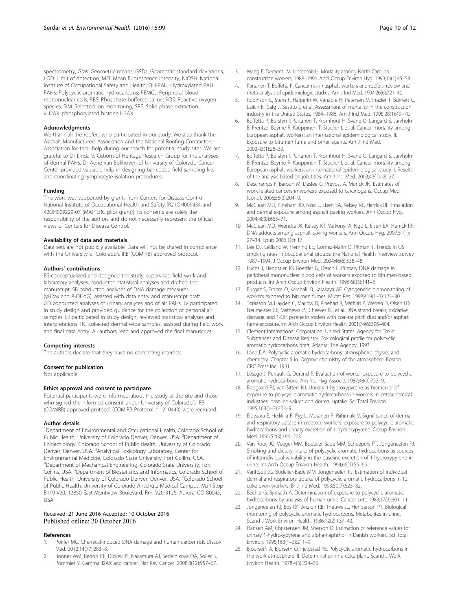<span id="page-9-0"></span>spectrometry; GMs: Geometric means; GSDs: Geometric standard deviations; LOD: Limit of detection; MFI: Mean fluorescence intensity; NIOSH: National Institute of Occupational Safety and Health; OH-PAH: Hydroxylated PAH; PAHs: Polycyclic aromatic hydrocarbons; PBMCs: Peripheral blood mononuclear cells; PBS: Phosphate buffered saline; ROS: Reactive oxygen species; SIM: Selected ion monitoring; SPE: Solid phase extraction; γH2AX: phosphorylated histone H2AX

#### Acknowledgments

We thank all the roofers who participated in our study. We also thank the Asphalt Manufacturers Association and the National Roofing Contractors Association for their help during our search for potential study sites. We are grateful to Dr Linda V. Osborn of Heritage Research Group for the analyses of dermal PAHs. Dr Adrie van Bokhoven of University of Colorado Cancer Center provided valuable help in designing bar coded field sampling kits and coordinating lymphocyte isolation procedures.

#### Funding

This work was supported by grants from Centers for Disease Control, National Institute of Occupational Health and Safety [R21OH009434 and 42OH009229-07 (MAP ERC pilot grant)]. Its contents are solely the responsibility of the authors and do not necessarily represent the official views of Centers for Disease Control.

#### Availability of data and materials

Data sets are not publicly available. Data will not be shared in compliance with the University of Colorado's IRB (COMIRB) approved protocol.

#### Authors' contributions

BS conceptualized and designed the study, supervised field work and laboratory analyses, conducted statistical analyses and drafted the manuscript. SB conducted analyses of DNA damage measures (γH2ax and 8-OHdG), assisted with data entry and manuscript draft. GD conducted analyses of urinary analytes and of air PAHs. JV participated in study design and provided guidance for the collection of personal air samples. EJ participated in study design, reviewed statistical analyses and interpretations. RG collected dermal wipe samples, assisted during field work and final data entry. All authors read and approved the final manuscript.

#### Competing interests

The authors declare that they have no competing interests.

#### Consent for publication

Not applicable.

#### Ethics approval and consent to participate

Potential participants were informed about the study at the site and those who signed the informed consent under University of Colorado's IRB (COMIRB) approved protocol (COMIRB Protocol # 12–0443) were recruited.

#### Author details

<sup>1</sup>Department of Environmental and Occupational Health, Colorado School of Public Health, University of Colorado Denver, Denver, USA. <sup>2</sup>Department of Epidemiology, Colorado School of Public Health, University of Colorado Denver, Denver, USA. <sup>3</sup>Analytical Toxicology Laboratory, Center for Environmental Medicine, Colorado State University, Fort Collins, USA. 4 Department of Mechanical Engineering, Colorado State University, Fort Collins, USA. <sup>5</sup>Department of Biostatistics and Informatics, Colorado School of Public Health, University of Colorado Denver, Denver, USA. <sup>6</sup>Colorado School of Public Health, University of Colorado Anschutz Medical Campus, Mail Stop B119-V20, 12850 East Montview Boulevard, Rm. V20-3126, Aurora, CO 80045, USA.

#### Received: 21 June 2016 Accepted: 10 October 2016 Published online: 20 October 2016

#### References

- 1. Poirier MC. Chemical-induced DNA damage and human cancer risk. Discov Med. 2012;14(77):283–8.
- 2. Bonner WM, Redon CE, Dickey JS, Nakamura AJ, Sedelnikova OA, Solier S, Pommier Y. GammaH2AX and cancer. Nat Rev Cancer. 2008;8(12):957–67.
- 3. Wang E, Dement JM, Lipscomb H. Mortality among North Carolina construction workers, 1988–1994. Appl Occup Environ Hyg. 1999;14(1):45–58.
- 4. Partanen T, Boffetta P. Cancer risk in asphalt workers and roofers: review and meta-analysis of epidemiologic studies. Am J Ind Med. 1994;26(6):721–40.
- 5. Robinson C, Stern F, Halperin W, Venable H, Petersen M, Frazier T, Burnett C, Lalich N, Salg J, Sestito J, et al. Assessment of mortality in the construction industry in the United States, 1984–1986. Am J Ind Med. 1995;28(1):49–70.
- 6. Boffetta P, Burstyn I, Partanen T, Kromhout H, Svane O, Langard S, Jarvholm B, Frentzel-Beyme R, Kauppinen T, Stucker I, et al. Cancer mortality among European asphalt workers: an international epidemiological study. II. Exposure to bitumen fume and other agents. Am J Ind Med. 2003;43(1):28–39.
- 7. Boffetta P, Burstyn I, Partanen T, Kromhout H, Svane O, Langard S, Jarvholm B, Frentzel-Beyme R, Kauppinen T, Stucker I, et al. Cancer mortality among European asphalt workers: an international epidemiological study. I. Results of the analysis based on job titles. Am J Ind Med. 2003;43(1):18–27.
- 8. Deschamps F, Barouh M, Deslee G, Prevost A, Munck JN. Estimates of work-related cancers in workers exposed to carcinogens. Occup Med (Lond). 2006;56(3):204–9.
- 9. McClean MD, Rinehart RD, Ngo L, Eisen EA, Kelsey KT, Herrick RF. Inhalation and dermal exposure among asphalt paving workers. Ann Occup Hyg. 2004;48(8):663–71.
- 10. McClean MD, Wiencke JK, Kelsey KT, Varkonyi A, Ngo L, Eisen EA, Herrick RF. DNA adducts among asphalt paving workers. Ann Occup Hyg. 2007;51(1): 27–34. Epub 2006 Oct 17.
- 11. Lee DJ, LeBlanc W, Fleming LE, Gomez-Marin O, Pitman T. Trends in US smoking rates in occupational groups: the National Health Interview Survey 1987–1994. J Occup Environ Med. 2004;46(6):538–48.
- 12. Fuchs J, Hengstler JG, Boettler G, Oesch F. Primary DNA damage in peripheral mononuclear blood cells of workers exposed to bitumen-based products. Int Arch Occup Environ Health. 1996;68(3):141–6.
- 13. Burgaz S, Erdem O, Karahalil B, Karakaya AE. Cytogenetic biomonitoring of workers exposed to bitumen fumes. Mutat Res. 1998;419(1–3):123–30.
- 14. Toraason M, Hayden C, Marlow D, Rinehart R, Mathias P, Werren D, Olsen LD, Neumeister CE, Mathews ES, Cheever KL, et al. DNA strand breaks, oxidative damage, and 1-OH pyrene in roofers with coal-tar pitch dust and/or asphalt fume exposure. Int Arch Occup Environ Health. 2001;74(6):396–404.
- 15. Clement International Corporation, United States. Agency for Toxic Substances and Disease Registry. Toxicological profile for polycyclic aromatic hydrocarbons draft. Atlanta: The Agency; 1993.
- 16. Lane DA. Polycyclic aromatic hydrocarbons: atmospheric physics and chemistry. Chapter 5 in: Organic chemistry of the atmosphere. Boston: CRC Press Inc; 1991.
- 17. Lesage J, Perrault G, Durand P. Evaluation of worker exposure to polycyclic aromatic hydrocarbons. Am Ind Hyg Assoc J. 1987;48(9):753–9.
- 18. Boogaard PJ, van Sittert NJ. Urinary 1-hydroxypyrene as biomarker of exposure to polycyclic aromatic hydrocarbons in workers in petrochemical industries: baseline values and dermal uptake. Sci Total Environ. 1995;163(1–3):203–9.
- 19. Elovaara E, Heikkila P, Pyy L, Mutanen P, Riihimaki V. Significance of dermal and respiratory uptake in creosote workers: exposure to polycyclic aromatic hydrocarbons and urinary excretion of 1-hydroxypyrene. Occup Environ Med. 1995;52(3):196–203.
- 20. Van Rooij JG, Veeger MM, Bodelier-Bade MM, Scheepers PT, Jongeneelen FJ. Smoking and dietary intake of polycyclic aromatic hydrocarbons as sources of interindividual variability in the baseline excretion of 1-hydroxypyrene in urine. Int Arch Occup Environ Health. 1994;66(1):55–65.
- 21. VanRooij JG, Bodelier-Bade MM, Jongeneelen FJ. Estimation of individual dermal and respiratory uptake of polycyclic aromatic hydrocarbons in 12 coke oven workers. Br J Ind Med. 1993;50(7):623–32.
- Becher G, Bjorseth A. Determination of exposure to polycyclic aromatic hydrocarbons by analysis of human urine. Cancer Lett. 1983;17(3):301–11.
- 23. Jongeneelen FJ, Bos RP, Anzion RB, Theuws JL, Henderson PT. Biological monitoring of polycyclic aromatic hydrocarbons. Metabolites in urine. Scand J Work Environ Health. 1986;12(2):137–43.
- 24. Hansen AM, Christensen JM, Sherson D. Estimation of reference values for urinary 1-hydroxypyrene and alpha-naphthol in Danish workers. Sci Total Environ. 1995;163(1–3):211–9.
- 25. Bjoorseth A, Bjorseth O, Fjeldstad PE. Polycyclic aromatic hydrocarbons in the work atmosphere. II. Determination in a coke plant. Scand J Work Environ Health. 1978;4(3):224–36.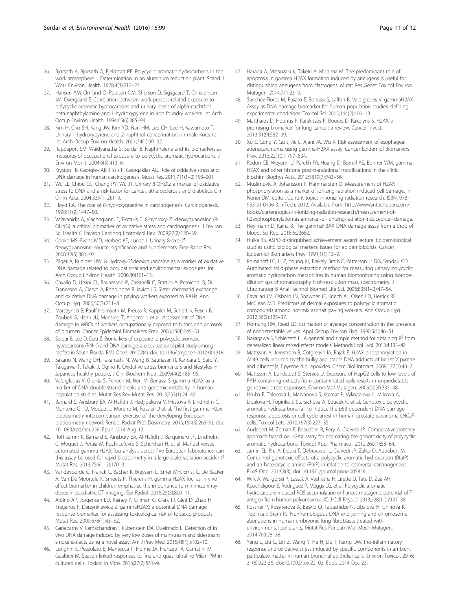- <span id="page-10-0"></span>26. Bjorseth A, Bjorseth O, Fjeldstad PE. Polycyclic aromatic hydrocarbons in the work atmosphere. I. Determination in an aluminum reduction plant. Scand J Work Environ Health. 1978;4(3):212–23.
- 27. Hansen AM, Omland O, Poulsen OM, Sherson D, Sigsgaard T, Christensen JM, Overgaard E. Correlation between work process-related exposure to polycyclic aromatic hydrocarbons and urinary levels of alpha-naphthol, beta-naphthylamine and 1-hydroxypyrene in iron foundry workers. Int Arch Occup Environ Health. 1994;65(6):385–94.
- 28. Kim H, Cho SH, Kang JW, Kim YD, Nan HM, Lee CH, Lee H, Kawamoto T. Urinary 1-hydroxypyrene and 2-naphthol concentrations in male Koreans. Int Arch Occup Environ Health. 2001;74(1):59–62.
- 29. Rappaport SM, Waidyanatha S, Serdar B. Naphthalene and its biomarkers as measures of occupational exposure to polycyclic aromatic hydrocarbons. J Environ Monit. 2004;6(5):413–6.
- 30. Kryston TB, Georgiev AB, Pissis P, Georgakilas AG. Role of oxidative stress and DNA damage in human carcinogenesis. Mutat Res. 2011;711(1–2):193–201.
- 31. Wu LL, Chiou CC, Chang PY, Wu JT. Urinary 8-OHdG: a marker of oxidative stress to DNA and a risk factor for cancer, atherosclerosis and diabetics. Clin Chim Acta. 2004;339(1–2):1–9.
- 32. Floyd RA. The role of 8-hydroxyguanine in carcinogenesis. Carcinogenesis. 1990;11(9):1447–50.
- 33. Valavanidis A, Vlachogianni T, Fiotakis C. 8-hydroxy-2′ -deoxyguanosine (8- OHdG): a critical biomarker of oxidative stress and carcinogenesis. J Environ Sci Health C Environ Carcinog Ecotoxicol Rev. 2009;27(2):120–39.
- 34. Cooke MS, Evans MD, Herbert KE, Lunec J. Urinary 8-oxo-2′ deoxyguanosine–source, significance and supplements. Free Radic Res. 2000;32(5):381–97.
- 35. Pilger A, Rudiger HW. 8-Hydroxy-2′-deoxyguanosine as a marker of oxidative DNA damage related to occupational and environmental exposures. Int Arch Occup Environ Health. 2006;80(1):1–15.
- 36. Cavallo D, Ursini CL, Bavazzano P, Cassinelli C, Frattini A, Perniconi B, Di Francesco A, Ciervo A, Rondinone B, Iavicoli S. Sister chromatid exchange and oxidative DNA damage in paving workers exposed to PAHs. Ann Occup Hyg. 2006;50(3):211–8.
- 37. Marczynski B, Raulf-Heimsoth M, Preuss R, Kappler M, Schott K, Pesch B, Zoubek G, Hahn JU, Mensing T, Angerer J, et al. Assessment of DNA damage in WBCs of workers occupationally exposed to fumes and aerosols of bitumen. Cancer Epidemiol Biomarkers Prev. 2006;15(4):645–51.
- 38. Serdar B, Lee D, Dou Z. Biomarkers of exposure to polycyclic aromatic hydrocarbons (PAHs) and DNA damage: a cross-sectional pilot study among roofers in South Florida. BMJ Open. 2012;2(4). doi: [10.1136/bmjopen-2012-001318](http://dx.doi.org/10.1136/bmjopen-2012-001318).
- 39. Sakano N, Wang DH, Takahashi N, Wang B, Sauriasari R, Kanbara S, Sato Y, Takigawa T, Takaki J, Ogino K. Oxidative stress biomarkers and lifestyles in Japanese healthy people. J Clin Biochem Nutr. 2009;44(2):185–95.
- 40. Valdiglesias V, Giunta S, Fenech M, Neri M, Bonassi S. gamma H2AX as a marker of DNA double strand breaks and genomic instability in human population studies. Mutat Res Rev Mutat Res. 2013;753(1):24–40.
- 41. Barnard S, Ainsbury EA, Al-Hafidh J, Hadjidekova V, Hristova R, Lindholm C, Monteiro Gil O, Moquet J, Moreno M, Rossler U et al. The first gamma-H2ax biodosimetry intercomparison exercise of the developing European biodosimetry network Reneb. Radiat Prot Dosimetry. 2015;164(3):265-70. doi: [10.1093/rpd/ncu259.](http://dx.doi.org/10.1093/rpd/ncu259) Epub 2014 Aug 12.
- 42. Rothkamm K, Barnard S, Ainsbury EA, Al-Hafidh J, Barquinero JF, Lindholm C, Moquet J, Perala M, Roch-Lefevre S, Scherthan H, et al. Manual versus automated gamma-H2AX foci analysis across five European laboratories: can this assay be used for rapid biodosimetry in a large scale radiation accident? Mutat Res. 2013;756(1–2):170–3.
- 43. Vandevoorde C, Franck C, Bacher K, Breysem L, Smet MH, Ernst C, De Backer A, Van De Moortele K, Smeets P, Thierens H. gamma-H2AX foci as in vivo effect biomarker in children emphasize the importance to minimize x-ray doses in paediatric CT imaging. Eur Radiol. 2015;25(3):800–11.
- 44. Albino AP, Jorgensen ED, Rainey P, Gillman G, Clark TJ, Gietl D, Zhao H, Traganos F, Darzynkiewicz Z. gammaH2AX: a potential DNA damage response biomarker for assessing toxicological risk of tobacco products. Mutat Res. 2009;678(1):43–52.
- 45. Ganapathy V, Ramachandran I, Rubenstein DA, Queimado L. Detection of in vivo DNA damage induced by very low doses of mainstream and sidestream smoke extracts using a novel assay. Am J Prev Med. 2015;48(1):S102–10.
- 46. Longhin E, Pezzolato E, Mantecca P, Holme JA, Franzetti A, Camatini M, Gualtieri M. Season linked responses to fine and quasi-ultrafine Milan PM in cultured cells. Toxicol In Vitro. 2013;27(2):551–9.
- 47. Harada A, Matsuzaki K, Takeiri A, Mishima M. The predominant role of apoptosis in gamma H2AX formation induced by aneugens is useful for distinguishing aneugens from clastogens. Mutat Res Genet Toxicol Environ Mutagen. 2014;771:23–9.
- 48. Sanchez-Flores M, Pasaro E, Bonassi S, Laffon B, Valdiglesias V. gammaH2AX Assay as DNA damage biomarker for human population studies: defining experimental conditions. Toxicol Sci. 2015;144(2):406–13.
- 49. Matthaios D, Hountis P, Karakitsos P, Bouros D, Kakolyris S. H2AX a promising biomarker for lung cancer: a review. Cancer Invest. 2013;31(9):582–99.
- 50. Xu E, Gong Y, Gu J, Jie L, Ajani JA, Wu X. Risk assessment of esophageal adenocarcinoma using gamma-H2AX assay. Cancer Epidemiol Biomarkers Prev. 2013;22(10):1797–804.
- 51. Redon CE, Weyemi U, Parekh PR, Huang D, Burrell AS, Bonner WM. gamma-H2AX and other histone post-translational modifications in the clinic. Biochim Biophys Acta. 2012;1819(7):743–56.
- 52. Muslimovic A, Johansson P, Hammarsten O. Measurement of H2AX phosphorylation as a marker of ionizing radiation induced cell damage. In: Nenoi DM, editor. Current topics in ionizing radiation research. ISBN: 978- 953-51-0196-3. InTech; 2012. Available from: [http://www.intechopen.com/](http://www.intechopen.com/books/currenttopics-in-ionizing-radiation-research/measurement-of-h2axphosphorylation-as-a-marker-of-ionizing-radiationinduced-cell-damage) [books/currenttopics-in-ionizing-radiation-research/measurement-of](http://www.intechopen.com/books/currenttopics-in-ionizing-radiation-research/measurement-of-h2axphosphorylation-as-a-marker-of-ionizing-radiationinduced-cell-damage)[h2axphosphorylation-as-a-marker-of-ionizing-radiationinduced-cell-damage.](http://www.intechopen.com/books/currenttopics-in-ionizing-radiation-research/measurement-of-h2axphosphorylation-as-a-marker-of-ionizing-radiationinduced-cell-damage)
- 53. Heylmann D, Kaina B. The gammaH2AX DNA damage assay from a drop of blood. Sci Rep. 2016;6:22682.
- 54. Hulka BS. ASPO distinguished achievement award lecture. Epidemiological studies using biological markers: issues for epidemiologists. Cancer Epidemiol Biomarkers Prev. 1991;1(1):13–9.
- 55. Romanoff LC, Li Z, Young KJ, Blakely 3rd NC, Patterson Jr DG, Sandau CD. Automated solid-phase extraction method for measuring urinary polycyclic aromatic hydrocarbon metabolites in human biomonitoring using isotopedilution gas chromatography high-resolution mass spectrometry. J Chromatogr B Anal Technol Biomed Life Sci. 2006;835(1–2):47–54.
- 56. Cavallari JM, Osborn LV, Snawder JE, Kriech AJ, Olsen LD, Herrick RF, McClean MD. Predictors of dermal exposures to polycyclic aromatic compounds among hot-mix asphalt paving workers. Ann Occup Hyg. 2012;56(2):125–37.
- 57. Hornung RW, Reed LD. Estimation of average concentration in the presence of nondetectable values. Appl Occup Environ Hyg. 1990;5(1):46–51.
- 58. Nakagawa S, Schielzeth H. A general and simple method for obtaining  $R^2$  from generalized linear mixed-effects models. Methods Ecol Evol. 2013;4:133–42.
- 59. Mattsson A, Jernstrom B, Cotgreave IA, Bajak E. H2AX phosphorylation in A549 cells induced by the bulky and stable DNA adducts of benzo[a]pyrene and dibenzo[a, l]pyrene diol epoxides. Chem Biol Interact. 2009;177(1):40–7.
- 60. Mattsson A, Lundstedt S, Stenius U. Exposure of HepG2 cells to low levels of PAH-containing extracts from contaminated soils results in unpredictable genotoxic stress responses. Environ Mol Mutagen. 2009;50(4):337–48.
- 61. Hruba E, Trilecova L, Marvanova S, Krcmar P, Vykopalova L, Milcova A, Libalova H, Topinka J, Starsichova A, Soucek K, et al. Genotoxic polycyclic aromatic hydrocarbons fail to induce the p53-dependent DNA damage response, apoptosis or cell-cycle arrest in human prostate carcinoma LNCaP cells. Toxicol Lett. 2010;197(3):227–35.
- 62. Audebert M, Zeman F, Beaudoin R, Pery A, Cravedi JP. Comparative potency approach based on H2AX assay for estimating the genotoxicity of polycyclic aromatic hydrocarbons. Toxicol Appl Pharmacol. 2012;260(1):58–64.
- 63. Jamin EL, Riu A, Douki T, Debrauwer L, Cravedi JP, Zalko D, Audebert M. Combined genotoxic effects of a polycyclic aromatic hydrocarbon (B(a)P) and an heterocyclic amine (PhIP) in relation to colorectal carcinogenesis. PLoS One. 2013;8(3). doi: [10.1371/journal.pone.0058591.](http://dx.doi.org/10.1371/journal.pone.0058591)
- 64. Wilk A, Waligorski P, Lassak A, Vashistha H, Lirette D, Tate D, Zea AH, Koochekpour S, Rodriguez P, Meggs LG, et al. Polycyclic aromatic hydrocarbons-induced ROS accumulation enhances mutagenic potential of Tantigen from human polyomavirus JC. J Cell Physiol. 2013;228(11):2127–38.
- 65. Rossner P, Rossnerova A, Beskid O, Tabashidze N, Libalova H, Uhlirova K, Topinka J, Sram RJ. Nonhomologous DNA end joining and chromosome aberrations in human embryonic lung fibroblasts treated with environmental pollutants. Mutat Res Fundam Mol Mech Mutagen. 2014;763:28–38.
- 66. Yang L, Liu G, Lin Z, Wang Y, He H, Liu T, Kamp DW. Pro-inflammatory response and oxidative stress induced by specific components in ambient particulate matter in human bronchial epithelial cells. Environ Toxicol. 2016; 31(8):923-36. doi:[10.1002/tox.22102.](http://dx.doi.org/10.1002/tox.22102) Epub 2014 Dec 23.